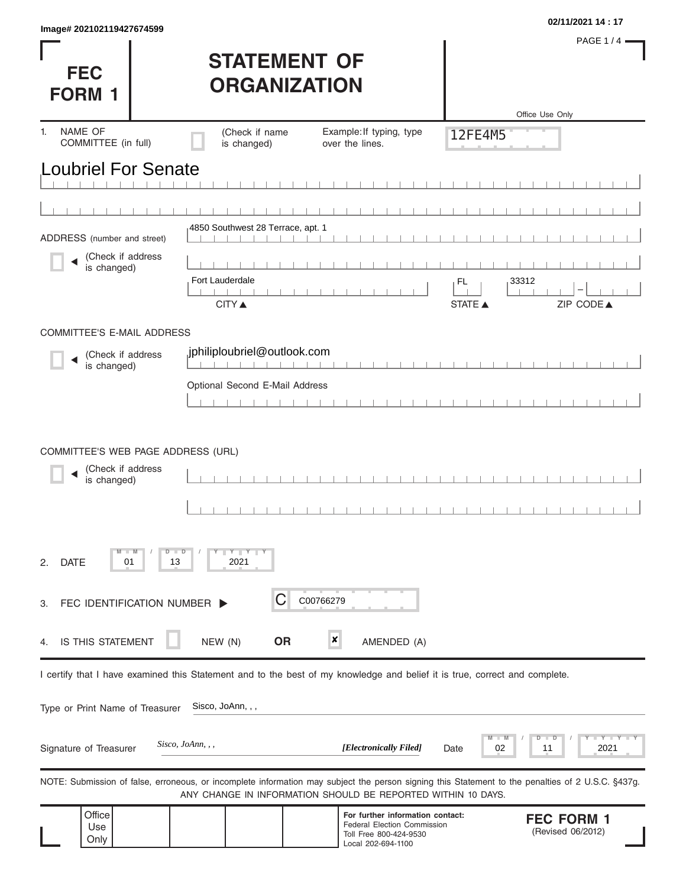| Image# 202102119427674599             |                                            |                                                                                                                                                                                                                   |                | 02/11/2021 14:17                       |
|---------------------------------------|--------------------------------------------|-------------------------------------------------------------------------------------------------------------------------------------------------------------------------------------------------------------------|----------------|----------------------------------------|
|                                       |                                            |                                                                                                                                                                                                                   |                | <b>PAGE 1/4</b>                        |
| <b>FEC</b>                            | <b>STATEMENT OF</b><br><b>ORGANIZATION</b> |                                                                                                                                                                                                                   |                |                                        |
| <b>FORM 1</b>                         |                                            |                                                                                                                                                                                                                   |                | Office Use Only                        |
| NAME OF<br>1.                         | (Check if name                             | Example: If typing, type                                                                                                                                                                                          | 12FE4M5        |                                        |
| COMMITTEE (in full)                   | is changed)                                | over the lines.                                                                                                                                                                                                   |                |                                        |
| <b>Loubriel For Senate</b>            |                                            |                                                                                                                                                                                                                   |                |                                        |
|                                       |                                            |                                                                                                                                                                                                                   |                |                                        |
| ADDRESS (number and street)           | 4850 Southwest 28 Terrace, apt. 1          |                                                                                                                                                                                                                   |                |                                        |
| (Check if address                     |                                            |                                                                                                                                                                                                                   |                |                                        |
| is changed)                           | Fort Lauderdale                            |                                                                                                                                                                                                                   | 33312<br>FL    |                                        |
|                                       | <b>CITY</b> ▲                              |                                                                                                                                                                                                                   | <b>STATE ▲</b> | ZIP CODE▲                              |
| COMMITTEE'S E-MAIL ADDRESS            |                                            |                                                                                                                                                                                                                   |                |                                        |
| (Check if address<br>is changed)      | jphiliploubriel@outlook.com                |                                                                                                                                                                                                                   |                |                                        |
|                                       | Optional Second E-Mail Address             |                                                                                                                                                                                                                   |                |                                        |
|                                       |                                            |                                                                                                                                                                                                                   |                |                                        |
|                                       |                                            |                                                                                                                                                                                                                   |                |                                        |
| COMMITTEE'S WEB PAGE ADDRESS (URL)    |                                            |                                                                                                                                                                                                                   |                |                                        |
| (Check if address<br>is changed)      |                                            |                                                                                                                                                                                                                   |                |                                        |
|                                       |                                            |                                                                                                                                                                                                                   |                |                                        |
|                                       |                                            |                                                                                                                                                                                                                   |                |                                        |
| $-M$<br><b>DATE</b><br>2.<br>01<br>13 | $D$ $\Box$ $D$<br>$Y$ $Y$ $Y$<br>2021      |                                                                                                                                                                                                                   |                |                                        |
| FEC IDENTIFICATION NUMBER ><br>3.     | Ĉ                                          | C00766279                                                                                                                                                                                                         |                |                                        |
|                                       |                                            |                                                                                                                                                                                                                   |                |                                        |
| IS THIS STATEMENT<br>4.               | <b>OR</b><br>NEW (N)                       | ×<br>AMENDED (A)                                                                                                                                                                                                  |                |                                        |
|                                       |                                            | I certify that I have examined this Statement and to the best of my knowledge and belief it is true, correct and complete.                                                                                        |                |                                        |
| Type or Print Name of Treasurer       | Sisco, JoAnn, , ,                          |                                                                                                                                                                                                                   |                |                                        |
|                                       |                                            |                                                                                                                                                                                                                   |                |                                        |
| Signature of Treasurer                | Sisco, JoAnn, , ,                          | [Electronically Filed]                                                                                                                                                                                            | 02<br>Date     | Y TY<br>D<br>$\Box$<br>2021<br>11      |
|                                       |                                            | NOTE: Submission of false, erroneous, or incomplete information may subject the person signing this Statement to the penalties of 2 U.S.C. §437g.<br>ANY CHANGE IN INFORMATION SHOULD BE REPORTED WITHIN 10 DAYS. |                |                                        |
| Office<br>Use<br>Only                 |                                            | For further information contact:<br><b>Federal Election Commission</b><br>Toll Free 800-424-9530<br>Local 202-694-1100                                                                                            |                | <b>FEC FORM 1</b><br>(Revised 06/2012) |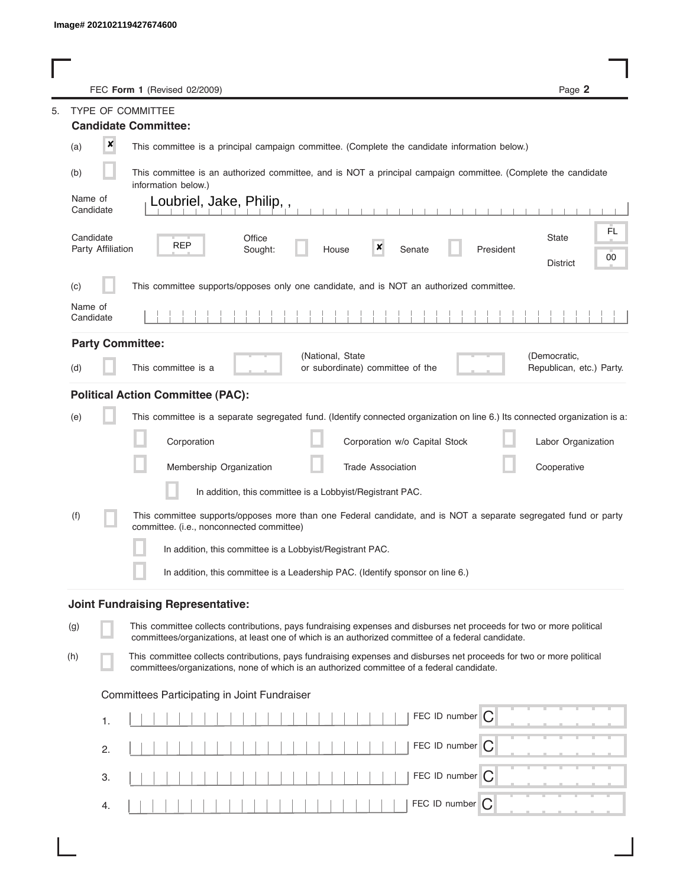|     |                                | FEC Form 1 (Revised 02/2009)                                                                                                                                                                                                | Page 2                                       |
|-----|--------------------------------|-----------------------------------------------------------------------------------------------------------------------------------------------------------------------------------------------------------------------------|----------------------------------------------|
|     |                                | TYPE OF COMMITTEE                                                                                                                                                                                                           |                                              |
|     |                                | <b>Candidate Committee:</b>                                                                                                                                                                                                 |                                              |
| (a) | ×                              | This committee is a principal campaign committee. (Complete the candidate information below.)                                                                                                                               |                                              |
| (b) |                                | This committee is an authorized committee, and is NOT a principal campaign committee. (Complete the candidate<br>information below.)                                                                                        |                                              |
|     | Name of<br>Candidate           | Loubriel, Jake, Philip,,                                                                                                                                                                                                    |                                              |
|     | Candidate<br>Party Affiliation | Office<br><b>REP</b><br>$\boldsymbol{x}$<br>Senate<br>President<br>Sought:<br>House                                                                                                                                         | FL.<br><b>State</b><br>00<br><b>District</b> |
| (c) |                                | This committee supports/opposes only one candidate, and is NOT an authorized committee.                                                                                                                                     |                                              |
|     | Name of<br>Candidate           |                                                                                                                                                                                                                             |                                              |
|     |                                | <b>Party Committee:</b>                                                                                                                                                                                                     |                                              |
| (d) |                                | (National, State<br>This committee is a<br>or subordinate) committee of the                                                                                                                                                 | (Democratic,<br>Republican, etc.) Party.     |
|     |                                | <b>Political Action Committee (PAC):</b>                                                                                                                                                                                    |                                              |
| (e) |                                | This committee is a separate segregated fund. (Identify connected organization on line 6.) Its connected organization is a:                                                                                                 |                                              |
|     |                                | Corporation<br>Corporation w/o Capital Stock                                                                                                                                                                                | Labor Organization                           |
|     |                                | Membership Organization<br><b>Trade Association</b>                                                                                                                                                                         | Cooperative                                  |
|     |                                | In addition, this committee is a Lobbyist/Registrant PAC.                                                                                                                                                                   |                                              |
| (f) |                                | This committee supports/opposes more than one Federal candidate, and is NOT a separate segregated fund or party<br>committee. (i.e., nonconnected committee)                                                                |                                              |
|     |                                | In addition, this committee is a Lobbyist/Registrant PAC.                                                                                                                                                                   |                                              |
|     |                                | In addition, this committee is a Leadership PAC. (Identify sponsor on line 6.)                                                                                                                                              |                                              |
|     |                                | <b>Joint Fundraising Representative:</b>                                                                                                                                                                                    |                                              |
| (g) |                                | This committee collects contributions, pays fundraising expenses and disburses net proceeds for two or more political<br>committees/organizations, at least one of which is an authorized committee of a federal candidate. |                                              |
| (h) |                                | This committee collects contributions, pays fundraising expenses and disburses net proceeds for two or more political<br>committees/organizations, none of which is an authorized committee of a federal candidate.         |                                              |
|     |                                | Committees Participating in Joint Fundraiser                                                                                                                                                                                |                                              |
|     | 1.                             | FEC ID number $\boxed{C}$                                                                                                                                                                                                   |                                              |
|     | 2.                             | FEC ID number C                                                                                                                                                                                                             |                                              |
|     | 3.                             | FEC ID number   C                                                                                                                                                                                                           |                                              |
|     | 4.                             | FEC ID number<br>C                                                                                                                                                                                                          |                                              |
|     |                                |                                                                                                                                                                                                                             |                                              |

I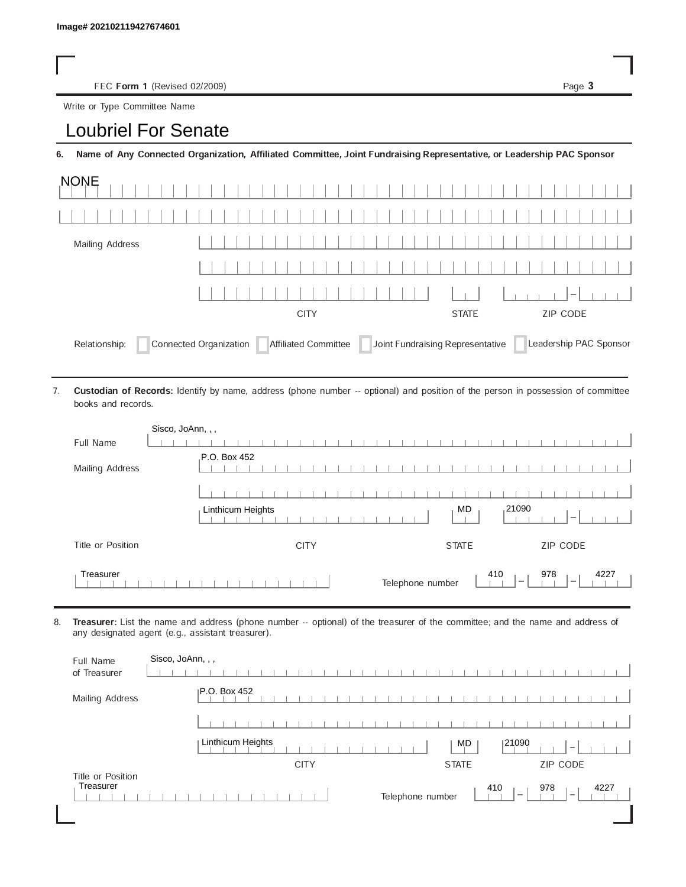FEC Form 1 (Revised 02/2009) Page 3

Write or Type Committee Name

## Image# 202102119427674601<br>
FEC Form 1 (Revised 02/2009)<br>
Write or Type Committee Name<br> **LOUDTIEL FOT SENATE**

6. Name of Any Connected Organization, Affiliated Committee, Joint Fundraising Representative, or Leadership PAC Sponsor

| <b>NONE</b>     |                                                                              |              |                        |
|-----------------|------------------------------------------------------------------------------|--------------|------------------------|
|                 |                                                                              |              |                        |
| Mailing Address |                                                                              |              |                        |
|                 |                                                                              |              |                        |
|                 |                                                                              |              | $-1$                   |
|                 | <b>CITY</b>                                                                  | <b>STATE</b> | <b>ZIP CODE</b>        |
| Relationship:   | Connected Organization Affiliated Committee Joint Fundraising Representative |              | Leadership PAC Sponsor |

Custodian of Records: Identify by name, address (phone number -- optional) and position of the person in possession of committee books and records. 7.

| Sisco, JoAnn, , ,      |                                                                                         |
|------------------------|-----------------------------------------------------------------------------------------|
| Full Name              |                                                                                         |
| <b>Mailing Address</b> | P.O. Box 452                                                                            |
|                        |                                                                                         |
|                        | 21090<br>MD<br>Linthicum Heights<br>$\overline{\phantom{a}}$                            |
| Title or Position      | ZIP CODE<br><b>CITY</b><br><b>STATE</b>                                                 |
| Treasurer              | 978<br>410<br>4227<br>Telephone number<br>$\overline{\phantom{a}}$<br>$\hspace{0.05cm}$ |

8. Treasurer: List the name and address (phone number -- optional) of the treasurer of the committee; and the name and address of any designated agent (e.g., assistant treasurer).

| Full Name<br>of Treasurer      | Sisco, JoAnn, , ,                                                                              |
|--------------------------------|------------------------------------------------------------------------------------------------|
| Mailing Address                | IP.O. Box 452                                                                                  |
|                                |                                                                                                |
|                                | Linthicum Heights<br>121090<br>MD<br>$\overline{\phantom{a}}$                                  |
|                                | <b>CITY</b><br><b>ZIP CODE</b><br><b>STATE</b>                                                 |
| Title or Position<br>Treasurer | 410<br>978<br>4227<br>Telephone number<br>$\overline{\phantom{a}}$<br>$\overline{\phantom{a}}$ |